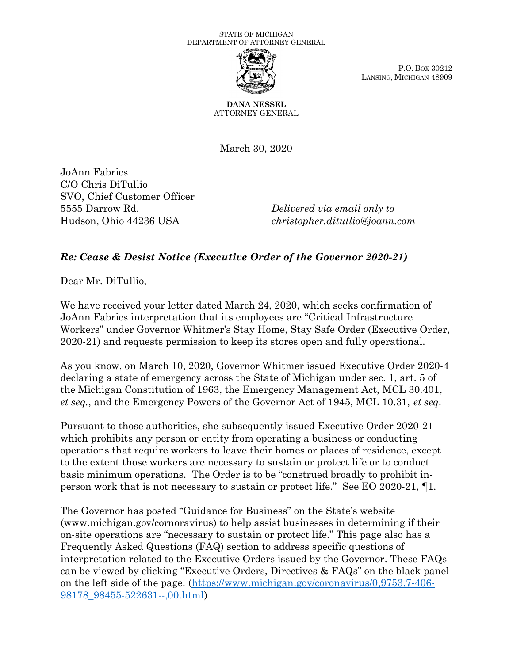## STATE OF MICHIGAN DEPARTMENT OF ATTORNEY GENERAL



 P.O. BOX 30212 LANSING, MICHIGAN 48909

## DANA NESSEL ATTORNEY GENERAL

March 30, 2020

 JoAnn Fabrics C/O Chris DiTullio SVO, Chief Customer Officer 5555 Darrow Rd. Hudson, Ohio 44236 USA

Delivered via email only to [christopher.ditullio@joann.com](mailto:christopher.ditullio@joann.com)

## Re: Cease & Desist Notice (Executive Order of the Governor 2020-21)

Dear Mr. DiTullio,

 We have received your letter dated March 24, 2020, which seeks confirmation of JoAnn Fabrics interpretation that its employees are "Critical Infrastructure Workers" under Governor Whitmer's Stay Home, Stay Safe Order (Executive Order, 2020-21) and requests permission to keep its stores open and fully operational.

 As you know, on March 10, 2020, Governor Whitmer issued Executive Order 2020-4 declaring a state of emergency across the State of Michigan under sec. 1, art. 5 of the Michigan Constitution of 1963, the Emergency Management Act, MCL 30.401, et seq., and the Emergency Powers of the Governor Act of 1945, MCL 10.31, et seq.

 Pursuant to those authorities, she subsequently issued Executive Order 2020-21 which prohibits any person or entity from operating a business or conducting operations that require workers to leave their homes or places of residence, except to the extent those workers are necessary to sustain or protect life or to conduct basic minimum operations. The Order is to be "construed broadly to prohibit in-person work that is not necessary to sustain or protect life." See EO 2020-21, ¶1.

 The Governor has posted "Guidance for Business" on the State's website [\(www.michigan.gov/cornoravirus](www.michigan.gov/cornoravirus)) to help assist businesses in determining if their on-site operations are "necessary to sustain or protect life." This page also has a Frequently Asked Questions (FAQ) section to address specific questions of interpretation related to the Executive Orders issued by the Governor. These FAQs can be viewed by clicking "Executive Orders, Directives & FAQs" on the black panel on the left side of the page. (<https://www.michigan.gov/coronavirus/0,9753,7-406>-98178\_98455-522631--,00.html)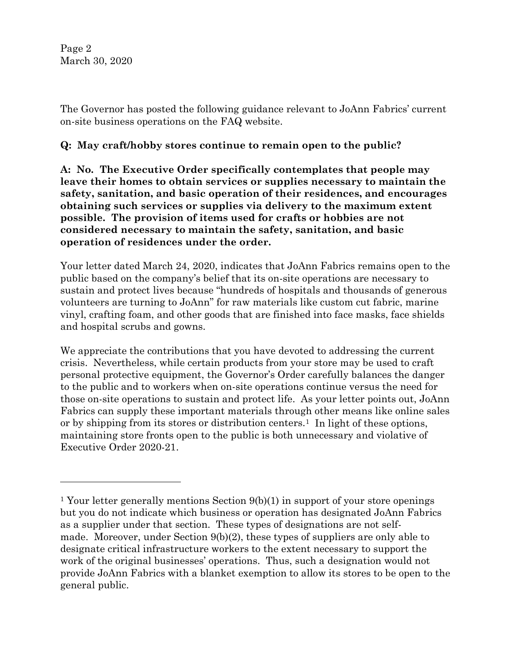Page 2 March 30, 2020

 The Governor has posted the following guidance relevant to JoAnn Fabrics' current on-site business operations on the FAQ website.

## Q: May craft/hobby stores continue to remain open to the public?

 A: No. The Executive Order specifically contemplates that people may leave their homes to obtain services or supplies necessary to maintain the safety, sanitation, and basic operation of their residences, and encourages obtaining such services or supplies via delivery to the maximum extent possible. The provision of items used for crafts or hobbies are not considered necessary to maintain the safety, sanitation, and basic operation of residences under the order.

 Your letter dated March 24, 2020, indicates that JoAnn Fabrics remains open to the public based on the company's belief that its on-site operations are necessary to sustain and protect lives because "hundreds of hospitals and thousands of generous volunteers are turning to JoAnn" for raw materials like custom cut fabric, marine vinyl, crafting foam, and other goods that are finished into face masks, face shields and hospital scrubs and gowns.

 We appreciate the contributions that you have devoted to addressing the current crisis. Nevertheless, while certain products from your store may be used to craft personal protective equipment, the Governor's Order carefully balances the danger to the public and to workers when on-site operations continue versus the need for those on-site operations to sustain and protect life. As your letter points out, JoAnn Fabrics can supply these important materials through other means like online sales or by shipping from its stores or distribution centers.<sup>1</sup> In light of these options, maintaining store fronts open to the public is both unnecessary and violative of Executive Order 2020-21.

<sup>&</sup>lt;sup>1</sup> Your letter generally mentions Section 9(b)(1) in support of your store openings but you do not indicate which business or operation has designated JoAnn Fabrics as a supplier under that section. These types of designations are not self- made. Moreover, under Section 9(b)(2), these types of suppliers are only able to designate critical infrastructure workers to the extent necessary to support the work of the original businesses' operations. Thus, such a designation would not provide JoAnn Fabrics with a blanket exemption to allow its stores to be open to the general public.